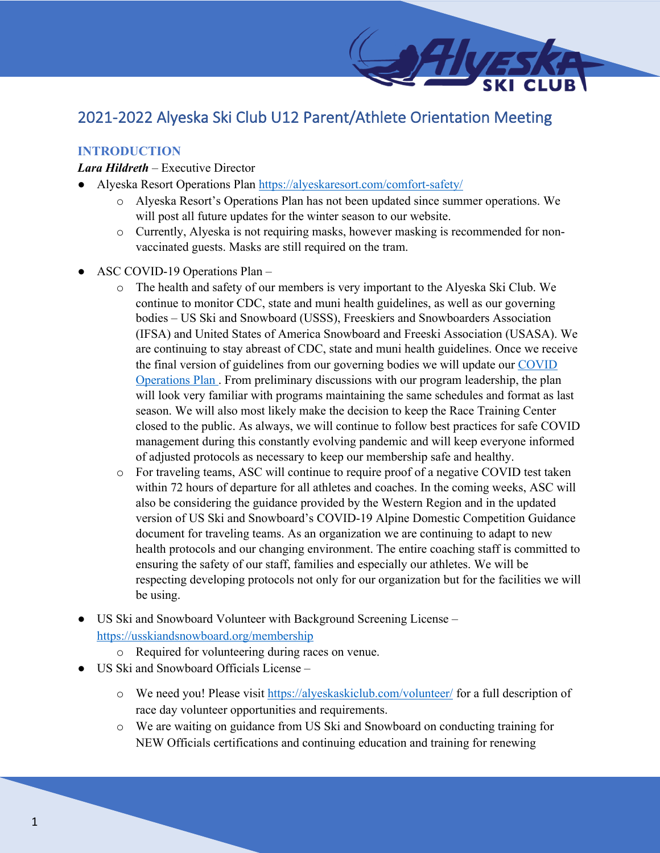# 2021-2022 Alyeska Ski Club U12 Parent/Athlete Orientation Meeting

# **INTRODUCTION**

#### *Lara Hildreth* – Executive Director

- Alyeska Resort Operations Plan https://alyeskaresort.com/comfort-safety/
	- o Alyeska Resort's Operations Plan has not been updated since summer operations. We will post all future updates for the winter season to our website.
	- o Currently, Alyeska is not requiring masks, however masking is recommended for nonvaccinated guests. Masks are still required on the tram.
- ASC COVID-19 Operations Plan
	- o The health and safety of our members is very important to the Alyeska Ski Club. We continue to monitor CDC, state and muni health guidelines, as well as our governing bodies – US Ski and Snowboard (USSS), Freeskiers and Snowboarders Association (IFSA) and United States of America Snowboard and Freeski Association (USASA). We are continuing to stay abreast of CDC, state and muni health guidelines. Once we receive the final version of guidelines from our governing bodies we will update our COVID Operations Plan . From preliminary discussions with our program leadership, the plan will look very familiar with programs maintaining the same schedules and format as last season. We will also most likely make the decision to keep the Race Training Center closed to the public. As always, we will continue to follow best practices for safe COVID management during this constantly evolving pandemic and will keep everyone informed of adjusted protocols as necessary to keep our membership safe and healthy.
	- o For traveling teams, ASC will continue to require proof of a negative COVID test taken within 72 hours of departure for all athletes and coaches. In the coming weeks, ASC will also be considering the guidance provided by the Western Region and in the updated version of US Ski and Snowboard's COVID-19 Alpine Domestic Competition Guidance document for traveling teams. As an organization we are continuing to adapt to new health protocols and our changing environment. The entire coaching staff is committed to ensuring the safety of our staff, families and especially our athletes. We will be respecting developing protocols not only for our organization but for the facilities we will be using.
- US Ski and Snowboard Volunteer with Background Screening License https://usskiandsnowboard.org/membership
	- o Required for volunteering during races on venue.
- US Ski and Snowboard Officials License
	- o We need you! Please visit https://alyeskaskiclub.com/volunteer/ for a full description of race day volunteer opportunities and requirements.
	- o We are waiting on guidance from US Ski and Snowboard on conducting training for NEW Officials certifications and continuing education and training for renewing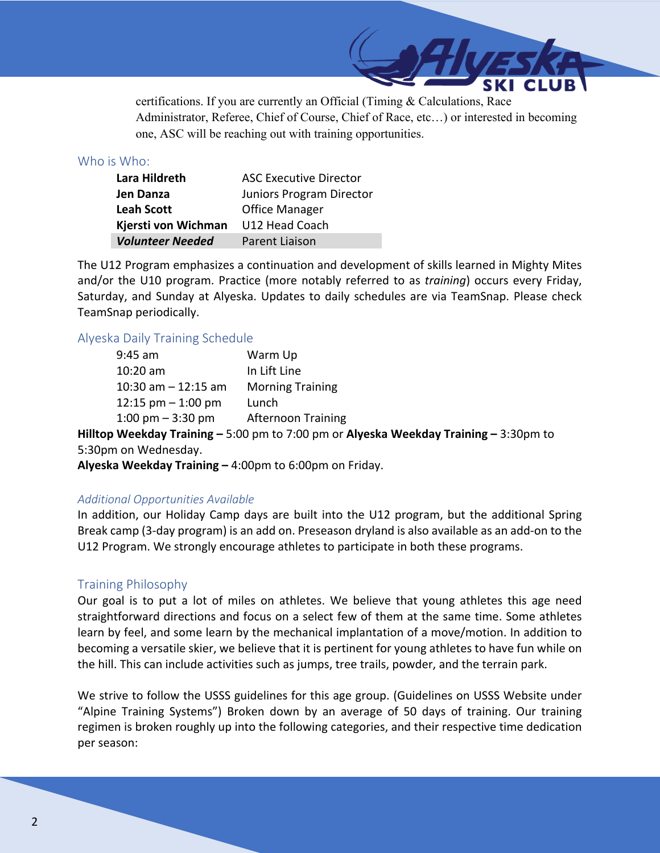certifications. If you are currently an Official (Timing & Calculations, Race Administrator, Referee, Chief of Course, Chief of Race, etc…) or interested in becoming one, ASC will be reaching out with training opportunities.

## Who is Who:

| Lara Hildreth           | <b>ASC Executive Director</b> |
|-------------------------|-------------------------------|
| Jen Danza               | Juniors Program Director      |
| <b>Leah Scott</b>       | <b>Office Manager</b>         |
| Kjersti von Wichman     | U12 Head Coach                |
| <b>Volunteer Needed</b> | Parent Liaison                |

The U12 Program emphasizes a continuation and development of skills learned in Mighty Mites and/or the U10 program. Practice (more notably referred to as *training*) occurs every Friday, Saturday, and Sunday at Alyeska. Updates to daily schedules are via TeamSnap. Please check TeamSnap periodically.

## Alyeska Daily Training Schedule

| 9:45 am               | Warm Up                   |
|-----------------------|---------------------------|
| 10:20 am              | In Lift Line              |
| 10:30 am - 12:15 am   | <b>Morning Training</b>   |
| $12:15$ pm $-1:00$ pm | Lunch                     |
| 1:00 pm $-$ 3:30 pm   | <b>Afternoon Training</b> |

**Hilltop Weekday Training –** 5:00 pm to 7:00 pm or **Alyeska Weekday Training –** 3:30pm to 5:30pm on Wednesday.

**Alyeska Weekday Training –** 4:00pm to 6:00pm on Friday.

#### *Additional Opportunities Available*

In addition, our Holiday Camp days are built into the U12 program, but the additional Spring Break camp (3-day program) is an add on. Preseason dryland is also available as an add-on to the U12 Program. We strongly encourage athletes to participate in both these programs.

# Training Philosophy

Our goal is to put a lot of miles on athletes. We believe that young athletes this age need straightforward directions and focus on a select few of them at the same time. Some athletes learn by feel, and some learn by the mechanical implantation of a move/motion. In addition to becoming a versatile skier, we believe that it is pertinent for young athletes to have fun while on the hill. This can include activities such as jumps, tree trails, powder, and the terrain park.

We strive to follow the USSS guidelines for this age group. (Guidelines on USSS Website under "Alpine Training Systems") Broken down by an average of 50 days of training. Our training regimen is broken roughly up into the following categories, and their respective time dedication per season: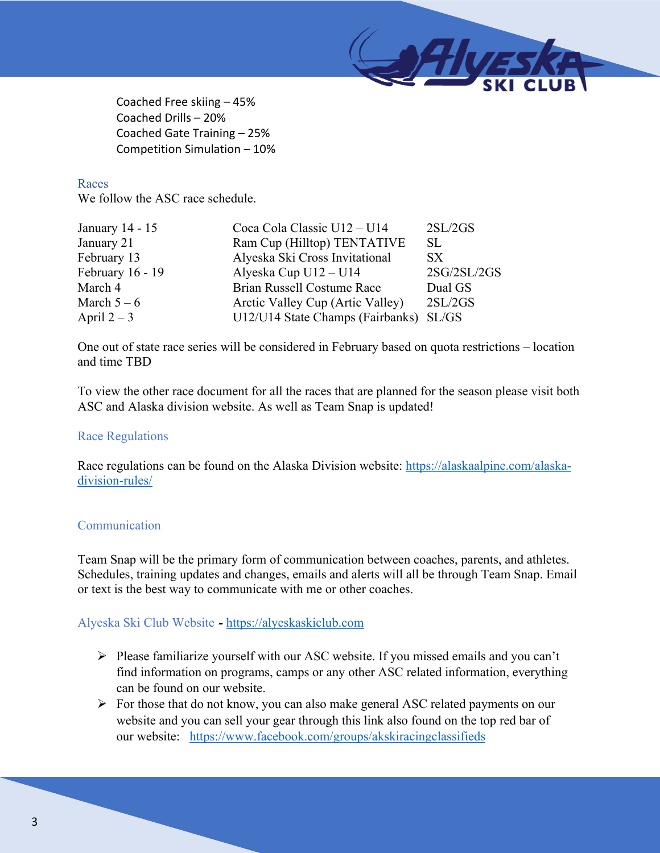

Coached Free skiing – 45% Coached Drills – 20% Coached Gate Training – 25% Competition Simulation – 10%

## Races

We follow the ASC race schedule.

| January 14 - 15  | Coca Cola Classic U12 - U14      | 2SL/2GS     |
|------------------|----------------------------------|-------------|
| January 21       | Ram Cup (Hilltop) TENTATIVE      | SL.         |
| February 13      | Alyeska Ski Cross Invitational   | SX.         |
| February 16 - 19 | Alyeska Cup U12 - U14            | 2SG/2SL/2GS |
| March 4          | Brian Russell Costume Race       | Dual GS     |
| March $5-6$      | Arctic Valley Cup (Artic Valley) | 2SL/2GS     |
| April $2-3$      | U12/U14 State Champs (Fairbanks) | SL/GS       |

One out of state race series will be considered in February based on quota restrictions – location and time TBD

To view the other race document for all the races that are planned for the season please visit both ASC and Alaska division website. As well as Team Snap is updated!

#### Race Regulations

Race regulations can be found on the Alaska Division website: https://alaskaalpine.com/alaskadivision-rules/

# Communication

Team Snap will be the primary form of communication between coaches, parents, and athletes. Schedules, training updates and changes, emails and alerts will all be through Team Snap. Email or text is the best way to communicate with me or other coaches.

# Alyeska Ski Club Website *-* https://alyeskaskiclub.com

- $\triangleright$  Please familiarize yourself with our ASC website. If you missed emails and you can't find information on programs, camps or any other ASC related information, everything can be found on our website.
- Ø For those that do not know, you can also make general ASC related payments on our website and you can sell your gear through this link also found on the top red bar of our website: https://www.facebook.com/groups/akskiracingclassifieds